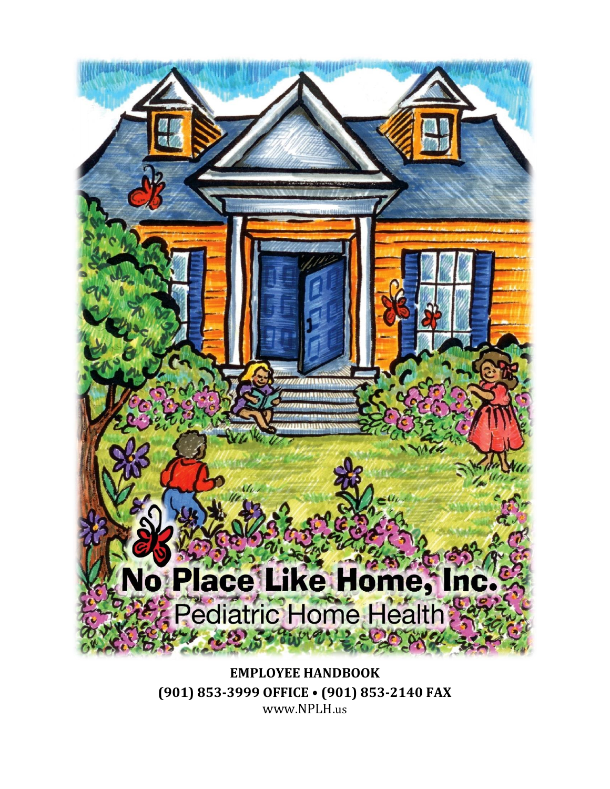

**EMPLOYEE HANDBOOK (901) 853-3999 OFFICE • (901) 853-2140 FAX** www.NPLH.us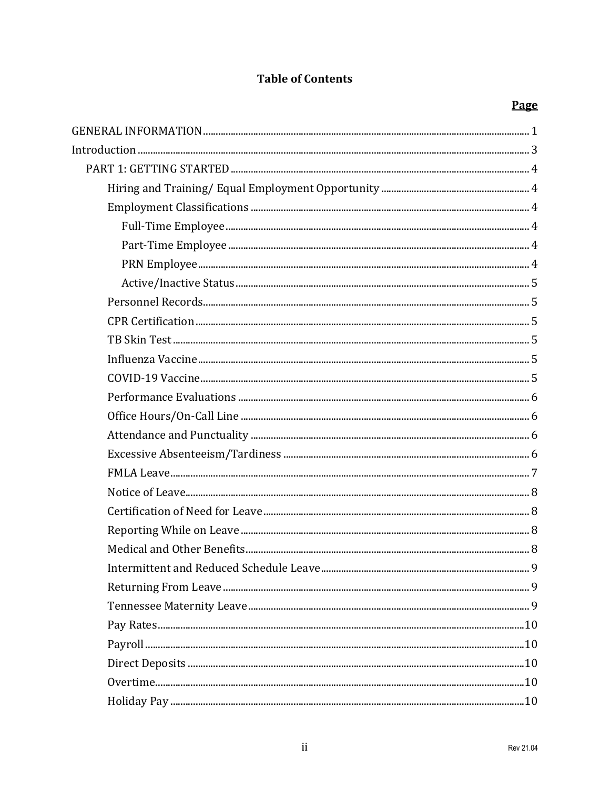### **Table of Contents**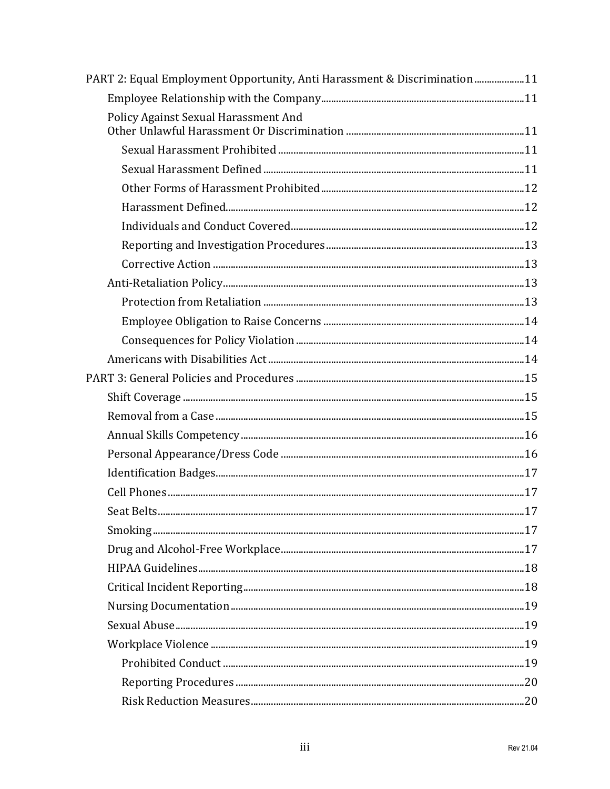| PART 2: Equal Employment Opportunity, Anti Harassment & Discrimination11 |  |
|--------------------------------------------------------------------------|--|
|                                                                          |  |
| Policy Against Sexual Harassment And                                     |  |
|                                                                          |  |
|                                                                          |  |
|                                                                          |  |
|                                                                          |  |
|                                                                          |  |
|                                                                          |  |
|                                                                          |  |
|                                                                          |  |
|                                                                          |  |
|                                                                          |  |
|                                                                          |  |
|                                                                          |  |
|                                                                          |  |
|                                                                          |  |
|                                                                          |  |
|                                                                          |  |
|                                                                          |  |
|                                                                          |  |
|                                                                          |  |
|                                                                          |  |
|                                                                          |  |
|                                                                          |  |
|                                                                          |  |
|                                                                          |  |
|                                                                          |  |
|                                                                          |  |
|                                                                          |  |
|                                                                          |  |
|                                                                          |  |
|                                                                          |  |
|                                                                          |  |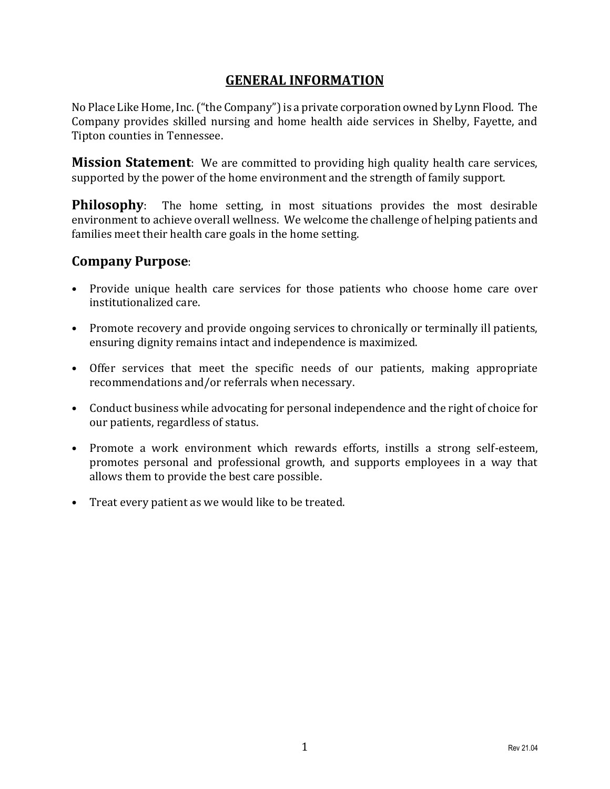### **GENERAL INFORMATION**

<span id="page-4-0"></span>No Place Like Home, Inc. ("the Company") is a private corporation owned by Lynn Flood. The Company provides skilled nursing and home health aide services in Shelby, Fayette, and Tipton counties in Tennessee.

**Mission Statement**: We are committed to providing high quality health care services, supported by the power of the home environment and the strength of family support.

**Philosophy**: The home setting, in most situations provides the most desirable environment to achieve overall wellness. We welcome the challenge of helping patients and families meet their health care goals in the home setting.

### **Company Purpose**:

- Provide unique health care services for those patients who choose home care over institutionalized care.
- Promote recovery and provide ongoing services to chronically or terminally ill patients, ensuring dignity remains intact and independence is maximized.
- Offer services that meet the specific needs of our patients, making appropriate recommendations and/or referrals when necessary.
- Conduct business while advocating for personal independence and the right of choice for our patients, regardless of status.
- Promote a work environment which rewards efforts, instills a strong self-esteem, promotes personal and professional growth, and supports employees in a way that allows them to provide the best care possible.
- Treat every patient as we would like to be treated.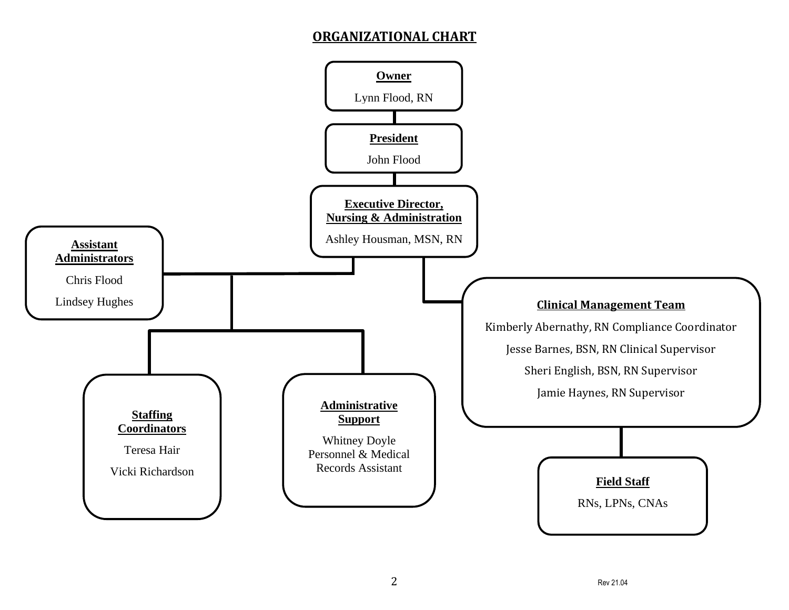# **ORGANIZATIONAL CHART**

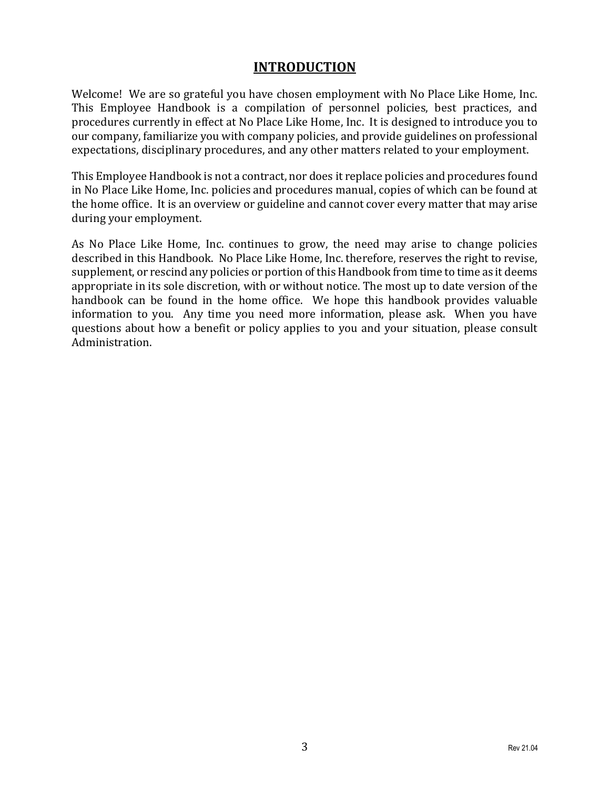# **INTRODUCTION**

<span id="page-6-0"></span>Welcome! We are so grateful you have chosen employment with No Place Like Home, Inc. This Employee Handbook is a compilation of personnel policies, best practices, and procedures currently in effect at No Place Like Home, Inc. It is designed to introduce you to our company, familiarize you with company policies, and provide guidelines on professional expectations, disciplinary procedures, and any other matters related to your employment.

This Employee Handbook is not a contract, nor does it replace policies and procedures found in No Place Like Home, Inc. policies and procedures manual, copies of which can be found at the home office. It is an overview or guideline and cannot cover every matter that may arise during your employment.

As No Place Like Home, Inc. continues to grow, the need may arise to change policies described in this Handbook. No Place Like Home, Inc. therefore, reserves the right to revise, supplement, or rescind any policies or portion of this Handbook from time to time as it deems appropriate in its sole discretion, with or without notice. The most up to date version of the handbook can be found in the home office. We hope this handbook provides valuable information to you. Any time you need more information, please ask. When you have questions about how a benefit or policy applies to you and your situation, please consult Administration.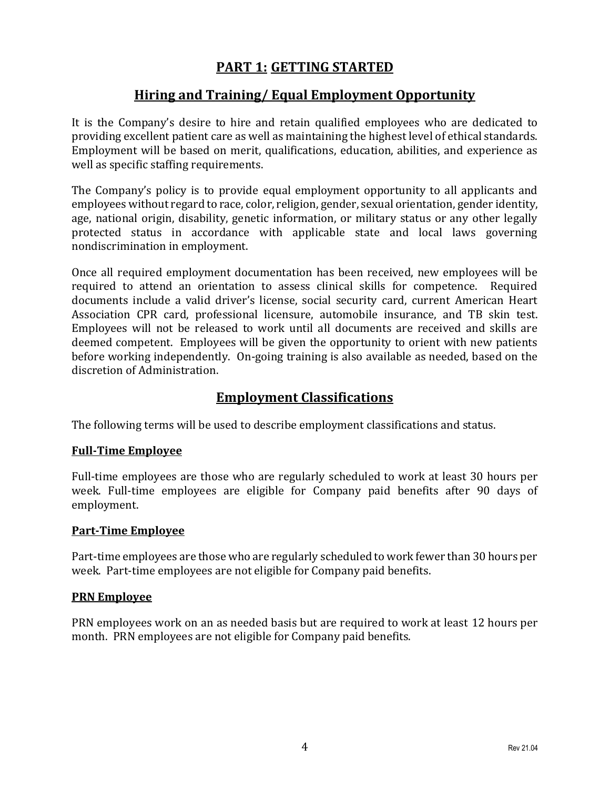# **PART 1: GETTING STARTED**

# **Hiring and Training/ Equal Employment Opportunity**

<span id="page-7-1"></span><span id="page-7-0"></span>It is the Company's desire to hire and retain qualified employees who are dedicated to providing excellent patient care as well as maintaining the highest level of ethical standards. Employment will be based on merit, qualifications, education, abilities, and experience as well as specific staffing requirements.

The Company's policy is to provide equal employment opportunity to all applicants and employees without regard to race, color, religion, gender, sexual orientation, gender identity, age, national origin, disability, genetic information, or military status or any other legally protected status in accordance with applicable state and local laws governing nondiscrimination in employment.

Once all required employment documentation has been received, new employees will be required to attend an orientation to assess clinical skills for competence. Required documents include a valid driver's license, social security card, current American Heart Association CPR card, professional licensure, automobile insurance, and TB skin test. Employees will not be released to work until all documents are received and skills are deemed competent. Employees will be given the opportunity to orient with new patients before working independently. On-going training is also available as needed, based on the discretion of Administration.

### **Employment Classifications**

<span id="page-7-2"></span>The following terms will be used to describe employment classifications and status.

#### <span id="page-7-3"></span>**Full-Time Employee**

Full-time employees are those who are regularly scheduled to work at least 30 hours per week. Full-time employees are eligible for Company paid benefits after 90 days of employment.

#### <span id="page-7-4"></span>**Part-Time Employee**

Part-time employees are those who are regularly scheduled to work fewer than 30 hours per week. Part-time employees are not eligible for Company paid benefits.

#### <span id="page-7-5"></span>**PRN Employee**

PRN employees work on an as needed basis but are required to work at least 12 hours per month. PRN employees are not eligible for Company paid benefits.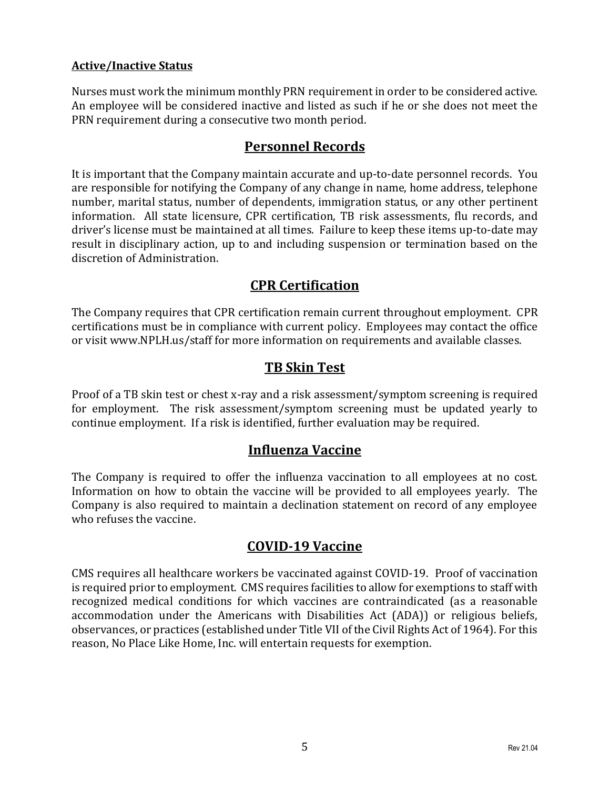#### <span id="page-8-0"></span>**Active/Inactive Status**

Nurses must work the minimum monthly PRN requirement in order to be considered active. An employee will be considered inactive and listed as such if he or she does not meet the PRN requirement during a consecutive two month period.

### **Personnel Records**

<span id="page-8-1"></span>It is important that the Company maintain accurate and up-to-date personnel records. You are responsible for notifying the Company of any change in name, home address, telephone number, marital status, number of dependents, immigration status, or any other pertinent information. All state licensure, CPR certification, TB risk assessments, flu records, and driver's license must be maintained at all times. Failure to keep these items up-to-date may result in disciplinary action, up to and including suspension or termination based on the discretion of Administration.

# **CPR Certification**

<span id="page-8-2"></span>The Company requires that CPR certification remain current throughout employment. CPR certifications must be in compliance with current policy. Employees may contact the office or visit www.NPLH.us/staff for more information on requirements and available classes.

# **TB Skin Test**

<span id="page-8-3"></span>Proof of a TB skin test or chest x-ray and a risk assessment/symptom screening is required for employment. The risk assessment/symptom screening must be updated yearly to continue employment. If a risk is identified, further evaluation may be required.

# **Influenza Vaccine**

<span id="page-8-4"></span>The Company is required to offer the influenza vaccination to all employees at no cost. Information on how to obtain the vaccine will be provided to all employees yearly. The Company is also required to maintain a declination statement on record of any employee who refuses the vaccine.

# **COVID-19 Vaccine**

<span id="page-8-5"></span>CMS requires all healthcare workers be vaccinated against COVID-19. Proof of vaccination is required prior to employment. CMS requires facilities to allow for exemptions to staff with recognized medical conditions for which vaccines are contraindicated (as a reasonable accommodation under the Americans with Disabilities Act (ADA)) or religious beliefs, observances, or practices (established under Title VII of the Civil Rights Act of 1964). For this reason, No Place Like Home, Inc. will entertain requests for exemption.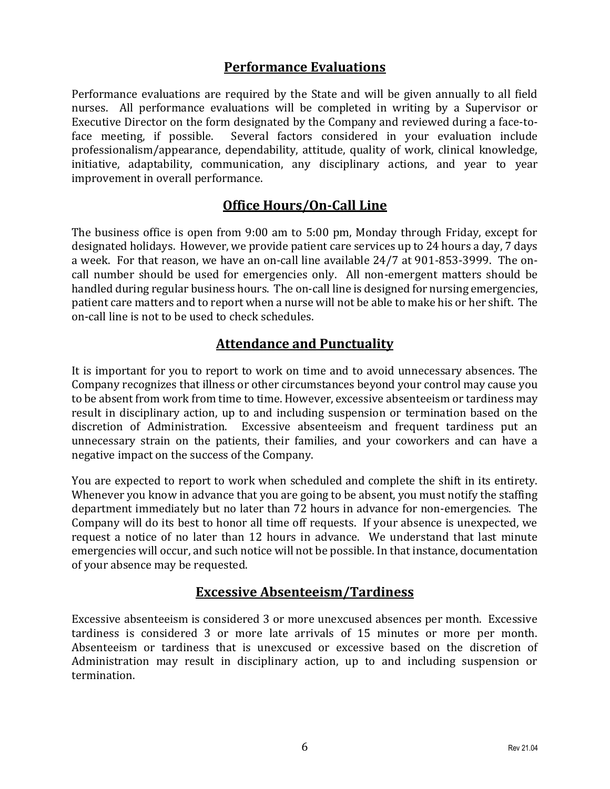# **Performance Evaluations**

<span id="page-9-0"></span>Performance evaluations are required by the State and will be given annually to all field nurses. All performance evaluations will be completed in writing by a Supervisor or Executive Director on the form designated by the Company and reviewed during a face-toface meeting, if possible. Several factors considered in your evaluation include professionalism/appearance, dependability, attitude, quality of work, clinical knowledge, initiative, adaptability, communication, any disciplinary actions, and year to year improvement in overall performance.

### **Office Hours/On-Call Line**

<span id="page-9-1"></span>The business office is open from 9:00 am to 5:00 pm, Monday through Friday, except for designated holidays. However, we provide patient care services up to 24 hours a day, 7 days a week. For that reason, we have an on-call line available 24/7 at 901-853-3999. The oncall number should be used for emergencies only. All non-emergent matters should be handled during regular business hours. The on-call line is designed for nursing emergencies, patient care matters and to report when a nurse will not be able to make his or her shift. The on-call line is not to be used to check schedules.

# **Attendance and Punctuality**

<span id="page-9-2"></span>It is important for you to report to work on time and to avoid unnecessary absences. The Company recognizes that illness or other circumstances beyond your control may cause you to be absent from work from time to time. However, excessive absenteeism or tardiness may result in disciplinary action, up to and including suspension or termination based on the discretion of Administration. Excessive absenteeism and frequent tardiness put an unnecessary strain on the patients, their families, and your coworkers and can have a negative impact on the success of the Company.

You are expected to report to work when scheduled and complete the shift in its entirety. Whenever you know in advance that you are going to be absent, you must notify the staffing department immediately but no later than 72 hours in advance for non-emergencies. The Company will do its best to honor all time off requests. If your absence is unexpected, we request a notice of no later than 12 hours in advance. We understand that last minute emergencies will occur, and such notice will not be possible. In that instance, documentation of your absence may be requested.

# **Excessive Absenteeism/Tardiness**

<span id="page-9-3"></span>Excessive absenteeism is considered 3 or more unexcused absences per month. Excessive tardiness is considered 3 or more late arrivals of 15 minutes or more per month. Absenteeism or tardiness that is unexcused or excessive based on the discretion of Administration may result in disciplinary action, up to and including suspension or termination.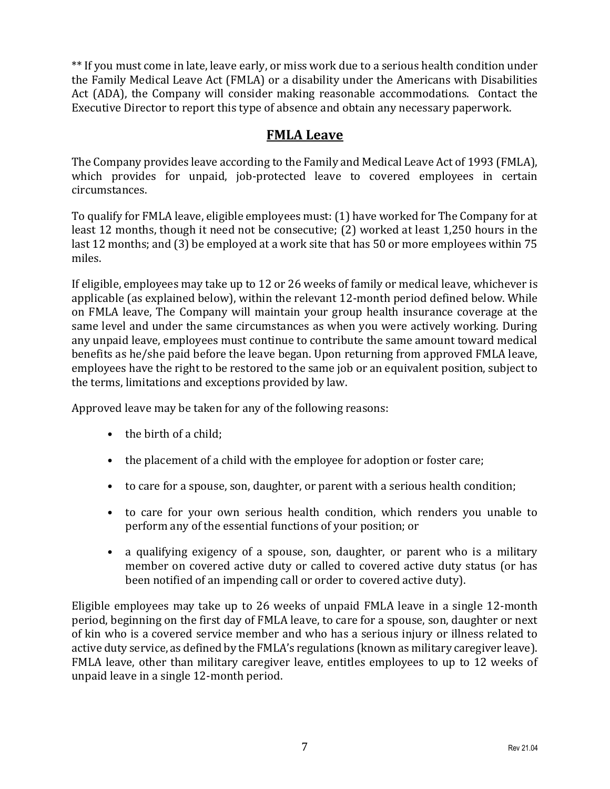\*\* If you must come in late, leave early, or miss work due to a serious health condition under the Family Medical Leave Act (FMLA) or a disability under the Americans with Disabilities Act (ADA), the Company will consider making reasonable accommodations. Contact the Executive Director to report this type of absence and obtain any necessary paperwork.

# **FMLA Leave**

<span id="page-10-0"></span>The Company provides leave according to the Family and Medical Leave Act of 1993 (FMLA), which provides for unpaid, job-protected leave to covered employees in certain circumstances.

To qualify for FMLA leave, eligible employees must: (1) have worked for The Company for at least 12 months, though it need not be consecutive; (2) worked at least 1,250 hours in the last 12 months; and (3) be employed at a work site that has 50 or more employees within 75 miles.

If eligible, employees may take up to 12 or 26 weeks of family or medical leave, whichever is applicable (as explained below), within the relevant 12-month period defined below. While on FMLA leave, The Company will maintain your group health insurance coverage at the same level and under the same circumstances as when you were actively working. During any unpaid leave, employees must continue to contribute the same amount toward medical benefits as he/she paid before the leave began. Upon returning from approved FMLA leave, employees have the right to be restored to the same job or an equivalent position, subject to the terms, limitations and exceptions provided by law.

Approved leave may be taken for any of the following reasons:

- the birth of a child:
- the placement of a child with the employee for adoption or foster care;
- to care for a spouse, son, daughter, or parent with a serious health condition;
- to care for your own serious health condition, which renders you unable to perform any of the essential functions of your position; or
- a qualifying exigency of a spouse, son, daughter, or parent who is a military member on covered active duty or called to covered active duty status (or has been notified of an impending call or order to covered active duty).

Eligible employees may take up to 26 weeks of unpaid FMLA leave in a single 12-month period, beginning on the first day of FMLA leave, to care for a spouse, son, daughter or next of kin who is a covered service member and who has a serious injury or illness related to active duty service, as defined by the FMLA's regulations (known as military caregiver leave). FMLA leave, other than military caregiver leave, entitles employees to up to 12 weeks of unpaid leave in a single 12-month period.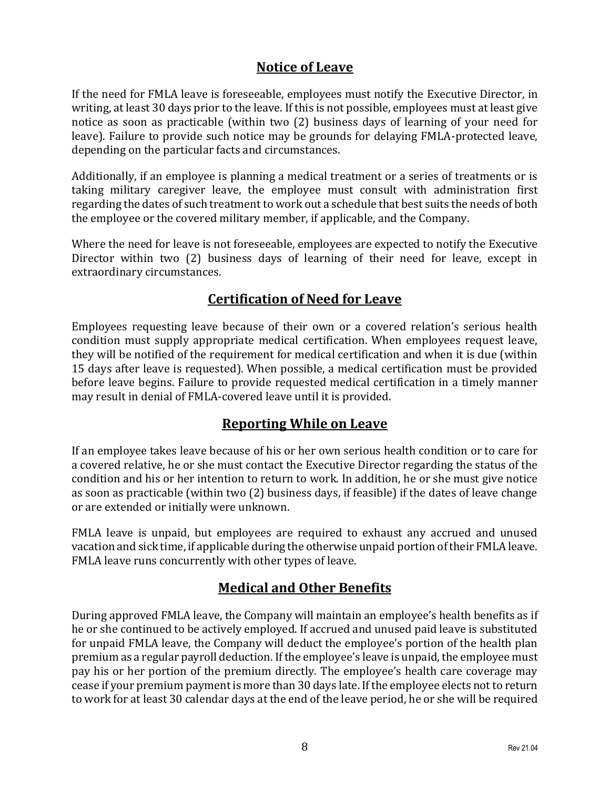# **Notice of Leave**

<span id="page-11-0"></span>If the need for FMLA leave is foreseeable, employees must notify the Executive Director, in writing, at least 30 days prior to the leave. If this is not possible, employees must at least give notice as soon as practicable (within two (2) business days of learning of your need for leave). Failure to provide such notice may be grounds for delaying FMLA-protected leave, depending on the particular facts and circumstances.

Additionally, if an employee is planning a medical treatment or a series of treatments or is taking military caregiver leave, the employee must consult with administration first regarding the dates of such treatment to work out a schedule that best suits the needs of both the employee or the covered military member, if applicable, and the Company.

Where the need for leave is not foreseeable, employees are expected to notify the Executive Director within two (2) business days of learning of their need for leave, except in extraordinary circumstances.

# **Certification of Need for Leave**

<span id="page-11-1"></span>Employees requesting leave because of their own or a covered relation's serious health condition must supply appropriate medical certification. When employees request leave, they will be notified of the requirement for medical certification and when it is due (within 15 days after leave is requested). When possible, a medical certification must be provided before leave begins. Failure to provide requested medical certification in a timely manner may result in denial of FMLA-covered leave until it is provided.

# **Reporting While on Leave**

<span id="page-11-2"></span>If an employee takes leave because of his or her own serious health condition or to care for a covered relative, he or she must contact the Executive Director regarding the status of the condition and his or her intention to return to work. In addition, he or she must give notice as soon as practicable (within two (2) business days, if feasible) if the dates of leave change or are extended or initially were unknown.

FMLA leave is unpaid, but employees are required to exhaust any accrued and unused vacation and sick time, if applicable during the otherwise unpaid portion of their FMLA leave. FMLA leave runs concurrently with other types of leave.

# **Medical and Other Benefits**

<span id="page-11-3"></span>During approved FMLA leave, the Company will maintain an employee's health benefits as if he or she continued to be actively employed. If accrued and unused paid leave is substituted for unpaid FMLA leave, the Company will deduct the employee's portion of the health plan premium as a regular payroll deduction. If the employee's leave is unpaid, the employee must pay his or her portion of the premium directly. The employee's health care coverage may cease if your premium payment is more than 30 days late. If the employee elects not to return to work for at least 30 calendar days at the end of the leave period, he or she will be required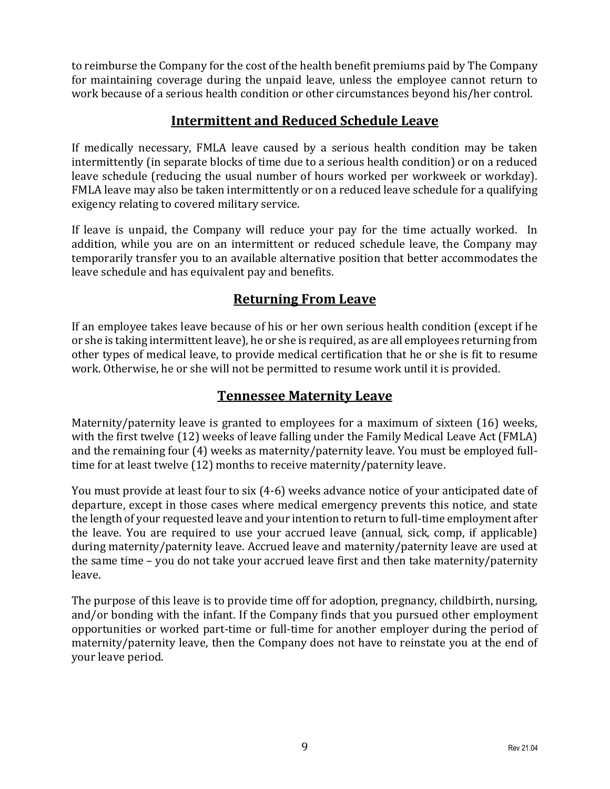to reimburse the Company for the cost of the health benefit premiums paid by The Company for maintaining coverage during the unpaid leave, unless the employee cannot return to work because of a serious health condition or other circumstances beyond his/her control.

# **Intermittent and Reduced Schedule Leave**

<span id="page-12-0"></span>If medically necessary, FMLA leave caused by a serious health condition may be taken intermittently (in separate blocks of time due to a serious health condition) or on a reduced leave schedule (reducing the usual number of hours worked per workweek or workday). FMLA leave may also be taken intermittently or on a reduced leave schedule for a qualifying exigency relating to covered military service.

If leave is unpaid, the Company will reduce your pay for the time actually worked. In addition, while you are on an intermittent or reduced schedule leave, the Company may temporarily transfer you to an available alternative position that better accommodates the leave schedule and has equivalent pay and benefits.

# **Returning From Leave**

<span id="page-12-1"></span>If an employee takes leave because of his or her own serious health condition (except if he or she is taking intermittent leave), he or she is required, as are all employees returning from other types of medical leave, to provide medical certification that he or she is fit to resume work. Otherwise, he or she will not be permitted to resume work until it is provided.

# **Tennessee Maternity Leave**

<span id="page-12-2"></span>Maternity/paternity leave is granted to employees for a maximum of sixteen (16) weeks, with the first twelve (12) weeks of leave falling under the Family Medical Leave Act (FMLA) and the remaining four (4) weeks as maternity/paternity leave. You must be employed fulltime for at least twelve (12) months to receive maternity/paternity leave.

You must provide at least four to six (4-6) weeks advance notice of your anticipated date of departure, except in those cases where medical emergency prevents this notice, and state the length of your requested leave and your intention to return to full-time employment after the leave. You are required to use your accrued leave (annual, sick, comp, if applicable) during maternity/paternity leave. Accrued leave and maternity/paternity leave are used at the same time – you do not take your accrued leave first and then take maternity/paternity leave.

The purpose of this leave is to provide time off for adoption, pregnancy, childbirth, nursing, and/or bonding with the infant. If the Company finds that you pursued other employment opportunities or worked part-time or full-time for another employer during the period of maternity/paternity leave, then the Company does not have to reinstate you at the end of your leave period.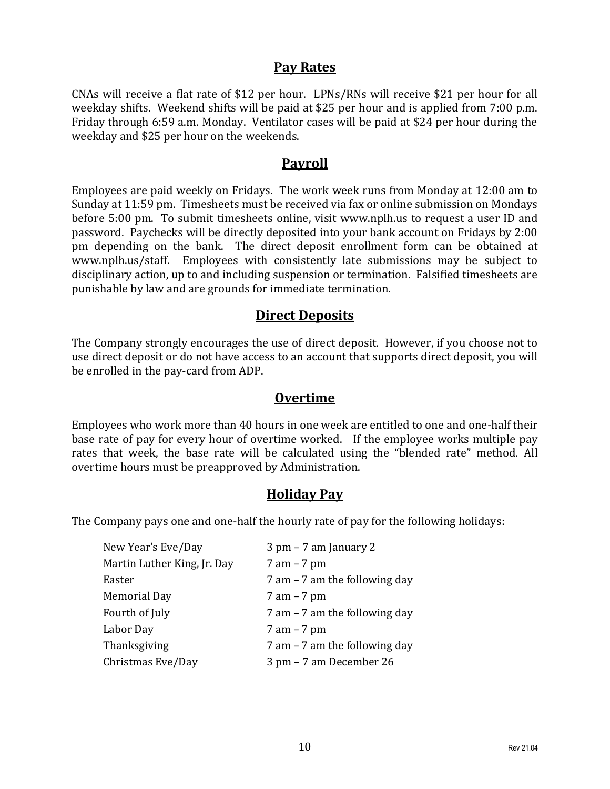# **Pay Rates**

<span id="page-13-0"></span>CNAs will receive a flat rate of \$12 per hour. LPNs/RNs will receive \$21 per hour for all weekday shifts. Weekend shifts will be paid at \$25 per hour and is applied from 7:00 p.m. Friday through 6:59 a.m. Monday. Ventilator cases will be paid at \$24 per hour during the weekday and \$25 per hour on the weekends.

### **Payroll**

<span id="page-13-1"></span>Employees are paid weekly on Fridays. The work week runs from Monday at 12:00 am to Sunday at 11:59 pm. Timesheets must be received via fax or online submission on Mondays before 5:00 pm. To submit timesheets online, visit www.nplh.us to request a user ID and password. Paychecks will be directly deposited into your bank account on Fridays by 2:00 pm depending on the bank. The direct deposit enrollment form can be obtained at www.nplh.us/staff. Employees with consistently late submissions may be subject to disciplinary action, up to and including suspension or termination. Falsified timesheets are punishable by law and are grounds for immediate termination.

# **Direct Deposits**

<span id="page-13-2"></span>The Company strongly encourages the use of direct deposit. However, if you choose not to use direct deposit or do not have access to an account that supports direct deposit, you will be enrolled in the pay-card from ADP.

### **Overtime**

<span id="page-13-3"></span>Employees who work more than 40 hours in one week are entitled to one and one-half their base rate of pay for every hour of overtime worked. If the employee works multiple pay rates that week, the base rate will be calculated using the "blended rate" method. All overtime hours must be preapproved by Administration.

#### **Holiday Pay**

<span id="page-13-4"></span>The Company pays one and one-half the hourly rate of pay for the following holidays:

| New Year's Eve/Day          | $3$ pm $-7$ am January 2         |
|-----------------------------|----------------------------------|
| Martin Luther King, Jr. Day | $7 \text{ am} - 7 \text{ pm}$    |
| Easter                      | $7$ am $-7$ am the following day |
| Memorial Day                | $7 \text{ am} - 7 \text{ pm}$    |
| Fourth of July              | $7$ am $-7$ am the following day |
| Labor Day                   | $7 \text{ am} - 7 \text{ pm}$    |
| Thanksgiving                | $7$ am $-7$ am the following day |
| Christmas Eve/Day           | 3 pm – 7 am December 26          |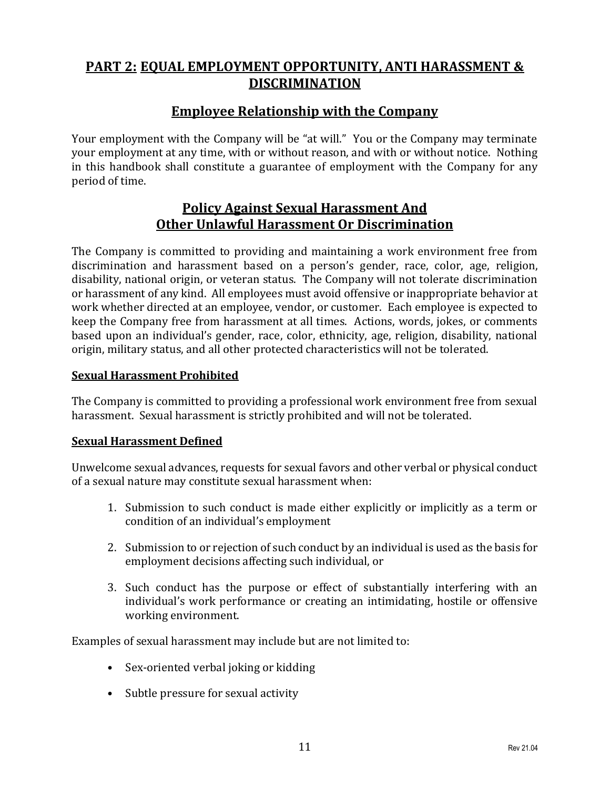# <span id="page-14-0"></span>**PART 2: EQUAL EMPLOYMENT OPPORTUNITY, ANTI HARASSMENT & DISCRIMINATION**

# **Employee Relationship with the Company**

<span id="page-14-1"></span>Your employment with the Company will be "at will." You or the Company may terminate your employment at any time, with or without reason, and with or without notice. Nothing in this handbook shall constitute a guarantee of employment with the Company for any period of time.

### **Policy Against Sexual Harassment And Other Unlawful Harassment Or Discrimination**

<span id="page-14-2"></span>The Company is committed to providing and maintaining a work environment free from discrimination and harassment based on a person's gender, race, color, age, religion, disability, national origin, or veteran status. The Company will not tolerate discrimination or harassment of any kind. All employees must avoid offensive or inappropriate behavior at work whether directed at an employee, vendor, or customer. Each employee is expected to keep the Company free from harassment at all times. Actions, words, jokes, or comments based upon an individual's gender, race, color, ethnicity, age, religion, disability, national origin, military status, and all other protected characteristics will not be tolerated.

#### <span id="page-14-3"></span>**Sexual Harassment Prohibited**

The Company is committed to providing a professional work environment free from sexual harassment. Sexual harassment is strictly prohibited and will not be tolerated.

#### <span id="page-14-4"></span>**Sexual Harassment Defined**

Unwelcome sexual advances, requests for sexual favors and other verbal or physical conduct of a sexual nature may constitute sexual harassment when:

- 1. Submission to such conduct is made either explicitly or implicitly as a term or condition of an individual's employment
- 2. Submission to or rejection of such conduct by an individual is used as the basis for employment decisions affecting such individual, or
- 3. Such conduct has the purpose or effect of substantially interfering with an individual's work performance or creating an intimidating, hostile or offensive working environment.

Examples of sexual harassment may include but are not limited to:

- Sex-oriented verbal joking or kidding
- Subtle pressure for sexual activity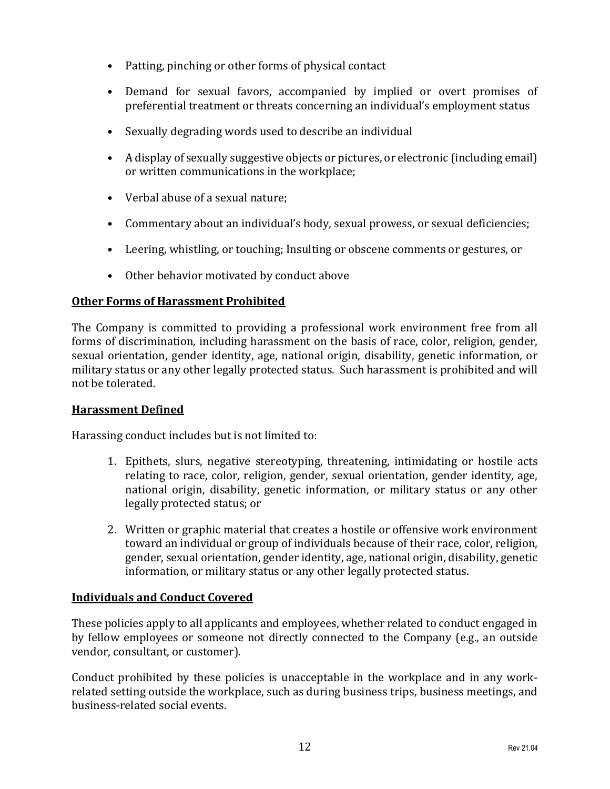- Patting, pinching or other forms of physical contact
- Demand for sexual favors, accompanied by implied or overt promises of preferential treatment or threats concerning an individual's employment status
- Sexually degrading words used to describe an individual
- A display of sexually suggestive objects or pictures, or electronic (including email) or written communications in the workplace;
- Verbal abuse of a sexual nature;
- Commentary about an individual's body, sexual prowess, or sexual deficiencies;
- Leering, whistling, or touching; Insulting or obscene comments or gestures, or
- Other behavior motivated by conduct above

#### <span id="page-15-0"></span>**Other Forms of Harassment Prohibited**

The Company is committed to providing a professional work environment free from all forms of discrimination, including harassment on the basis of race, color, religion, gender, sexual orientation, gender identity, age, national origin, disability, genetic information, or military status or any other legally protected status. Such harassment is prohibited and will not be tolerated.

#### <span id="page-15-1"></span>**Harassment Defined**

Harassing conduct includes but is not limited to:

- 1. Epithets, slurs, negative stereotyping, threatening, intimidating or hostile acts relating to race, color, religion, gender, sexual orientation, gender identity, age, national origin, disability, genetic information, or military status or any other legally protected status; or
- 2. Written or graphic material that creates a hostile or offensive work environment toward an individual or group of individuals because of their race, color, religion, gender, sexual orientation, gender identity, age, national origin, disability, genetic information, or military status or any other legally protected status.

#### <span id="page-15-2"></span>**Individuals and Conduct Covered**

These policies apply to all applicants and employees, whether related to conduct engaged in by fellow employees or someone not directly connected to the Company (e.g., an outside vendor, consultant, or customer).

Conduct prohibited by these policies is unacceptable in the workplace and in any workrelated setting outside the workplace, such as during business trips, business meetings, and business-related social events.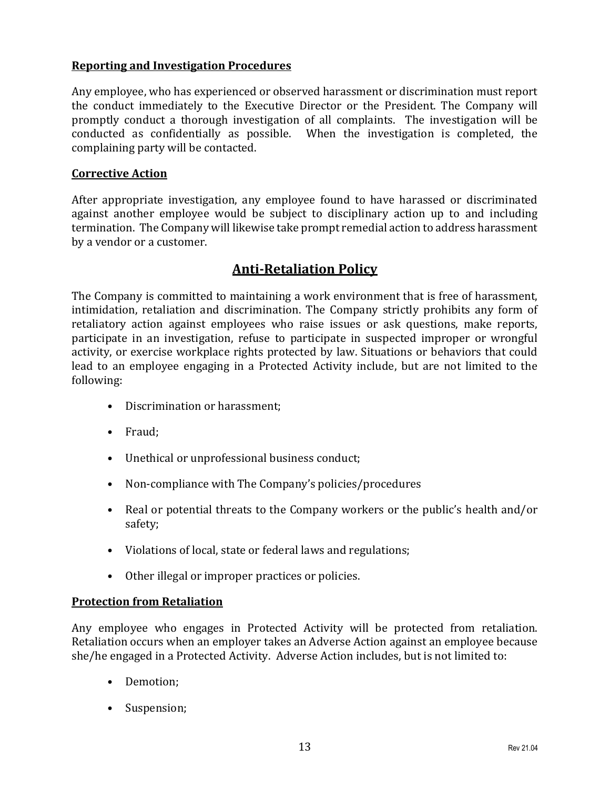#### <span id="page-16-0"></span>**Reporting and Investigation Procedures**

Any employee, who has experienced or observed harassment or discrimination must report the conduct immediately to the Executive Director or the President. The Company will promptly conduct a thorough investigation of all complaints. The investigation will be conducted as confidentially as possible. When the investigation is completed, the complaining party will be contacted.

#### <span id="page-16-1"></span>**Corrective Action**

After appropriate investigation, any employee found to have harassed or discriminated against another employee would be subject to disciplinary action up to and including termination. The Company will likewise take prompt remedial action to address harassment by a vendor or a customer.

# **Anti-Retaliation Policy**

<span id="page-16-2"></span>The Company is committed to maintaining a work environment that is free of harassment, intimidation, retaliation and discrimination. The Company strictly prohibits any form of retaliatory action against employees who raise issues or ask questions, make reports, participate in an investigation, refuse to participate in suspected improper or wrongful activity, or exercise workplace rights protected by law. Situations or behaviors that could lead to an employee engaging in a Protected Activity include, but are not limited to the following:

- Discrimination or harassment;
- Fraud;
- Unethical or unprofessional business conduct;
- Non-compliance with The Company's policies/procedures
- Real or potential threats to the Company workers or the public's health and/or safety;
- Violations of local, state or federal laws and regulations;
- Other illegal or improper practices or policies.

#### <span id="page-16-3"></span>**Protection from Retaliation**

Any employee who engages in Protected Activity will be protected from retaliation. Retaliation occurs when an employer takes an Adverse Action against an employee because she/he engaged in a Protected Activity. Adverse Action includes, but is not limited to:

- Demotion;
- Suspension;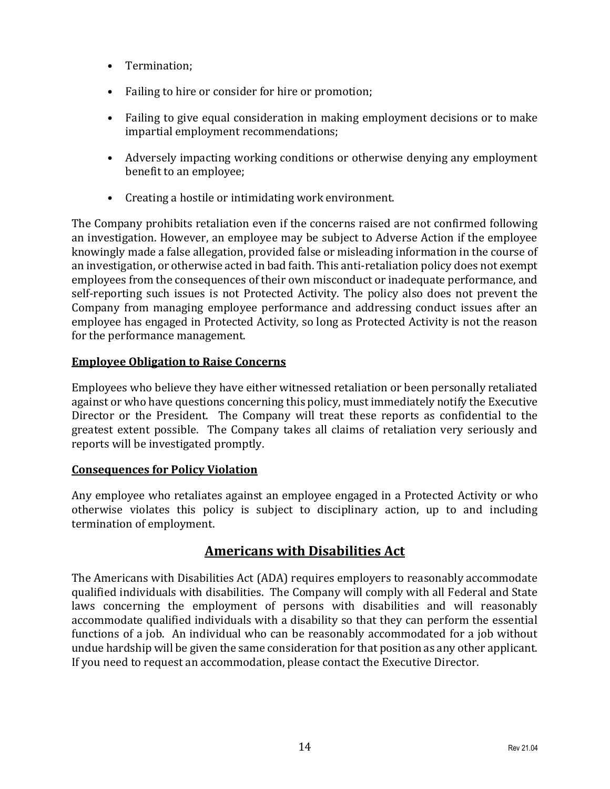- Termination;
- Failing to hire or consider for hire or promotion;
- Failing to give equal consideration in making employment decisions or to make impartial employment recommendations;
- Adversely impacting working conditions or otherwise denying any employment benefit to an employee;
- Creating a hostile or intimidating work environment.

The Company prohibits retaliation even if the concerns raised are not confirmed following an investigation. However, an employee may be subject to Adverse Action if the employee knowingly made a false allegation, provided false or misleading information in the course of an investigation, or otherwise acted in bad faith. This anti-retaliation policy does not exempt employees from the consequences of their own misconduct or inadequate performance, and self-reporting such issues is not Protected Activity. The policy also does not prevent the Company from managing employee performance and addressing conduct issues after an employee has engaged in Protected Activity, so long as Protected Activity is not the reason for the performance management.

#### <span id="page-17-0"></span>**Employee Obligation to Raise Concerns**

Employees who believe they have either witnessed retaliation or been personally retaliated against or who have questions concerning this policy, must immediately notify the Executive Director or the President. The Company will treat these reports as confidential to the greatest extent possible. The Company takes all claims of retaliation very seriously and reports will be investigated promptly.

#### <span id="page-17-1"></span>**Consequences for Policy Violation**

Any employee who retaliates against an employee engaged in a Protected Activity or who otherwise violates this policy is subject to disciplinary action, up to and including termination of employment.

# **Americans with Disabilities Act**

<span id="page-17-2"></span>The Americans with Disabilities Act (ADA) requires employers to reasonably accommodate qualified individuals with disabilities. The Company will comply with all Federal and State laws concerning the employment of persons with disabilities and will reasonably accommodate qualified individuals with a disability so that they can perform the essential functions of a job. An individual who can be reasonably accommodated for a job without undue hardship will be given the same consideration for that position as any other applicant. If you need to request an accommodation, please contact the Executive Director.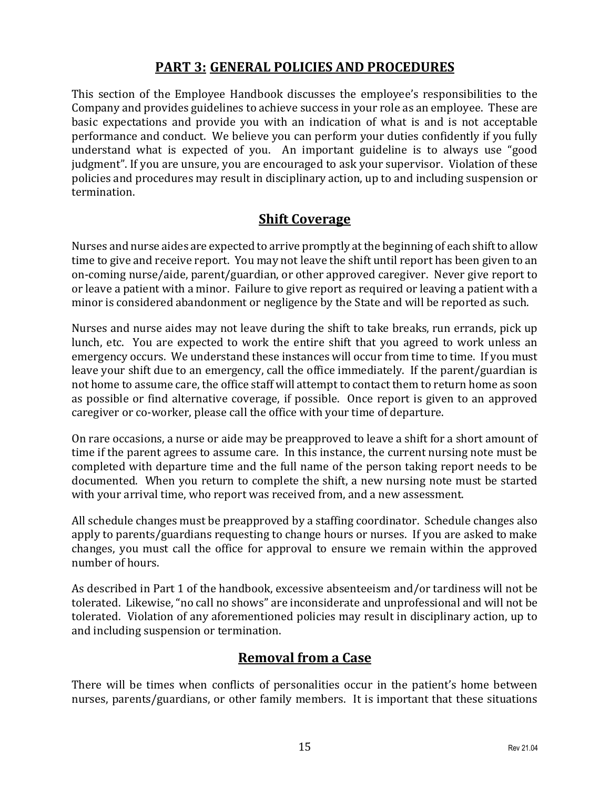# **PART 3: GENERAL POLICIES AND PROCEDURES**

<span id="page-18-0"></span>This section of the Employee Handbook discusses the employee's responsibilities to the Company and provides guidelines to achieve success in your role as an employee. These are basic expectations and provide you with an indication of what is and is not acceptable performance and conduct. We believe you can perform your duties confidently if you fully understand what is expected of you. An important guideline is to always use "good judgment". If you are unsure, you are encouraged to ask your supervisor. Violation of these policies and procedures may result in disciplinary action, up to and including suspension or termination.

# **Shift Coverage**

<span id="page-18-1"></span>Nurses and nurse aides are expected to arrive promptly at the beginning of each shift to allow time to give and receive report. You may not leave the shift until report has been given to an on-coming nurse/aide, parent/guardian, or other approved caregiver. Never give report to or leave a patient with a minor. Failure to give report as required or leaving a patient with a minor is considered abandonment or negligence by the State and will be reported as such.

Nurses and nurse aides may not leave during the shift to take breaks, run errands, pick up lunch, etc. You are expected to work the entire shift that you agreed to work unless an emergency occurs. We understand these instances will occur from time to time. If you must leave your shift due to an emergency, call the office immediately. If the parent/guardian is not home to assume care, the office staff will attempt to contact them to return home as soon as possible or find alternative coverage, if possible. Once report is given to an approved caregiver or co-worker, please call the office with your time of departure.

On rare occasions, a nurse or aide may be preapproved to leave a shift for a short amount of time if the parent agrees to assume care. In this instance, the current nursing note must be completed with departure time and the full name of the person taking report needs to be documented. When you return to complete the shift, a new nursing note must be started with your arrival time, who report was received from, and a new assessment.

All schedule changes must be preapproved by a staffing coordinator. Schedule changes also apply to parents/guardians requesting to change hours or nurses. If you are asked to make changes, you must call the office for approval to ensure we remain within the approved number of hours.

As described in Part 1 of the handbook, excessive absenteeism and/or tardiness will not be tolerated. Likewise, "no call no shows" are inconsiderate and unprofessional and will not be tolerated. Violation of any aforementioned policies may result in disciplinary action, up to and including suspension or termination.

# **Removal from a Case**

<span id="page-18-2"></span>There will be times when conflicts of personalities occur in the patient's home between nurses, parents/guardians, or other family members. It is important that these situations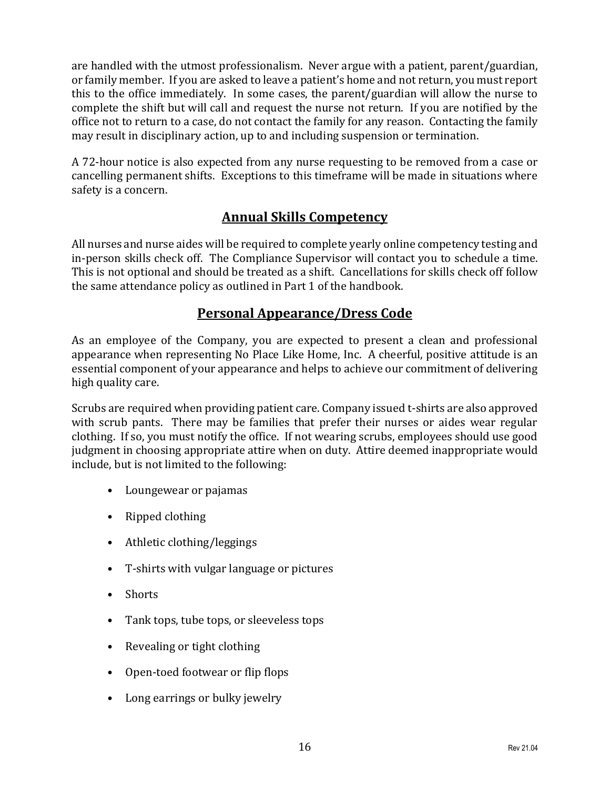are handled with the utmost professionalism. Never argue with a patient, parent/guardian, or family member. If you are asked to leave a patient's home and not return, you must report this to the office immediately. In some cases, the parent/guardian will allow the nurse to complete the shift but will call and request the nurse not return. If you are notified by the office not to return to a case, do not contact the family for any reason. Contacting the family may result in disciplinary action, up to and including suspension or termination.

A 72-hour notice is also expected from any nurse requesting to be removed from a case or cancelling permanent shifts. Exceptions to this timeframe will be made in situations where safety is a concern.

# **Annual Skills Competency**

<span id="page-19-0"></span>All nurses and nurse aides will be required to complete yearly online competency testing and in-person skills check off. The Compliance Supervisor will contact you to schedule a time. This is not optional and should be treated as a shift. Cancellations for skills check off follow the same attendance policy as outlined in Part 1 of the handbook.

# **Personal Appearance/Dress Code**

<span id="page-19-1"></span>As an employee of the Company, you are expected to present a clean and professional appearance when representing No Place Like Home, Inc. A cheerful, positive attitude is an essential component of your appearance and helps to achieve our commitment of delivering high quality care.

Scrubs are required when providing patient care. Company issued t-shirts are also approved with scrub pants. There may be families that prefer their nurses or aides wear regular clothing. If so, you must notify the office. If not wearing scrubs, employees should use good judgment in choosing appropriate attire when on duty. Attire deemed inappropriate would include, but is not limited to the following:

- Loungewear or pajamas
- Ripped clothing
- Athletic clothing/leggings
- T-shirts with vulgar language or pictures
- Shorts
- Tank tops, tube tops, or sleeveless tops
- Revealing or tight clothing
- Open-toed footwear or flip flops
- Long earrings or bulky jewelry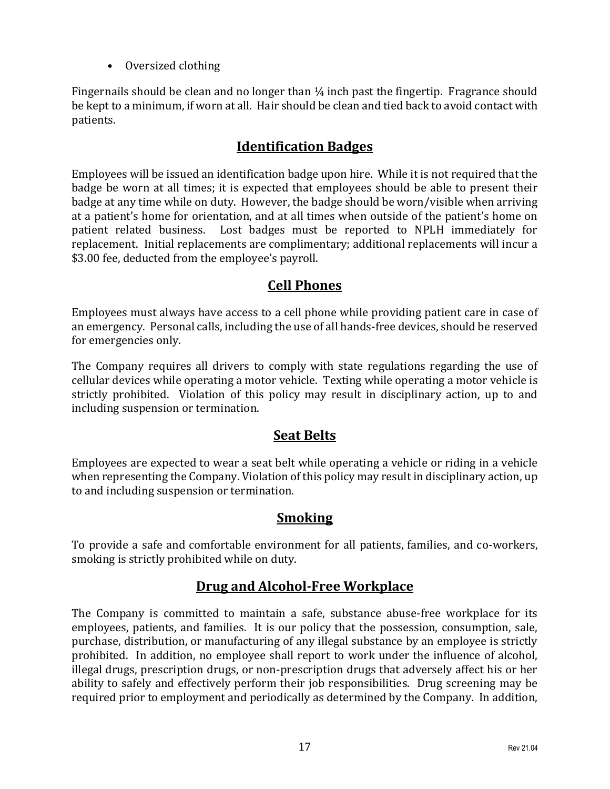• Oversized clothing

Fingernails should be clean and no longer than  $\frac{1}{4}$  inch past the fingertip. Fragrance should be kept to a minimum, if worn at all. Hair should be clean and tied back to avoid contact with patients.

# **Identification Badges**

<span id="page-20-0"></span>Employees will be issued an identification badge upon hire. While it is not required that the badge be worn at all times; it is expected that employees should be able to present their badge at any time while on duty. However, the badge should be worn/visible when arriving at a patient's home for orientation, and at all times when outside of the patient's home on patient related business. Lost badges must be reported to NPLH immediately for replacement. Initial replacements are complimentary; additional replacements will incur a \$3.00 fee, deducted from the employee's payroll.

# **Cell Phones**

<span id="page-20-1"></span>Employees must always have access to a cell phone while providing patient care in case of an emergency. Personal calls, including the use of all hands-free devices, should be reserved for emergencies only.

The Company requires all drivers to comply with state regulations regarding the use of cellular devices while operating a motor vehicle. Texting while operating a motor vehicle is strictly prohibited. Violation of this policy may result in disciplinary action, up to and including suspension or termination.

# **Seat Belts**

<span id="page-20-2"></span>Employees are expected to wear a seat belt while operating a vehicle or riding in a vehicle when representing the Company. Violation of this policy may result in disciplinary action, up to and including suspension or termination.

# **Smoking**

<span id="page-20-3"></span>To provide a safe and comfortable environment for all patients, families, and co-workers, smoking is strictly prohibited while on duty.

# **Drug and Alcohol-Free Workplace**

<span id="page-20-4"></span>The Company is committed to maintain a safe, substance abuse-free workplace for its employees, patients, and families. It is our policy that the possession, consumption, sale, purchase, distribution, or manufacturing of any illegal substance by an employee is strictly prohibited. In addition, no employee shall report to work under the influence of alcohol, illegal drugs, prescription drugs, or non-prescription drugs that adversely affect his or her ability to safely and effectively perform their job responsibilities. Drug screening may be required prior to employment and periodically as determined by the Company. In addition,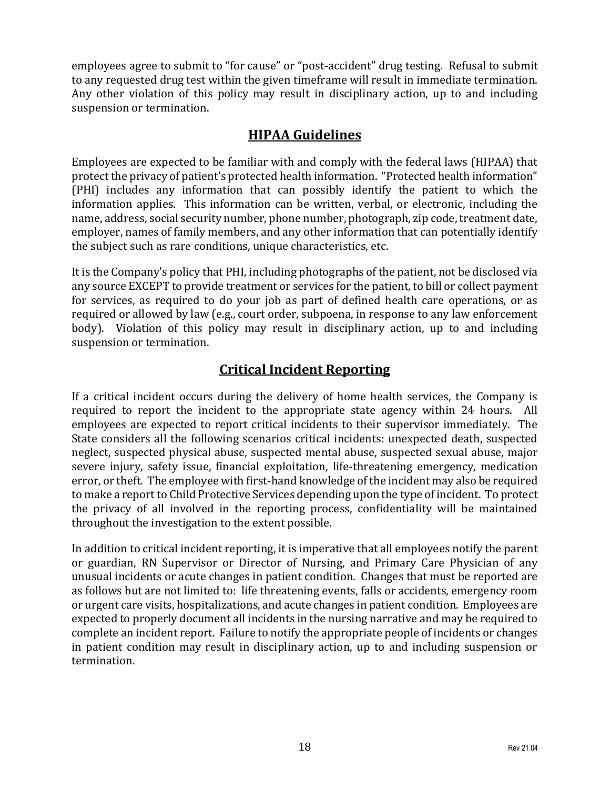employees agree to submit to "for cause" or "post-accident" drug testing. Refusal to submit to any requested drug test within the given timeframe will result in immediate termination. Any other violation of this policy may result in disciplinary action, up to and including suspension or termination.

# **HIPAA Guidelines**

<span id="page-21-0"></span>Employees are expected to be familiar with and comply with the federal laws (HIPAA) that protect the privacy of patient's protected health information. "Protected health information" (PHI) includes any information that can possibly identify the patient to which the information applies. This information can be written, verbal, or electronic, including the name, address, social security number, phone number, photograph, zip code, treatment date, employer, names of family members, and any other information that can potentially identify the subject such as rare conditions, unique characteristics, etc.

It is the Company's policy that PHI, including photographs of the patient, not be disclosed via any source EXCEPT to provide treatment or services for the patient, to bill or collect payment for services, as required to do your job as part of defined health care operations, or as required or allowed by law (e.g., court order, subpoena, in response to any law enforcement body). Violation of this policy may result in disciplinary action, up to and including suspension or termination.

# **Critical Incident Reporting**

<span id="page-21-1"></span>If a critical incident occurs during the delivery of home health services, the Company is required to report the incident to the appropriate state agency within 24 hours. All employees are expected to report critical incidents to their supervisor immediately. The State considers all the following scenarios critical incidents: unexpected death, suspected neglect, suspected physical abuse, suspected mental abuse, suspected sexual abuse, major severe injury, safety issue, financial exploitation, life-threatening emergency, medication error, or theft. The employee with first-hand knowledge of the incident may also be required to make a report to Child Protective Services depending upon the type of incident. To protect the privacy of all involved in the reporting process, confidentiality will be maintained throughout the investigation to the extent possible.

In addition to critical incident reporting, it is imperative that all employees notify the parent or guardian, RN Supervisor or Director of Nursing, and Primary Care Physician of any unusual incidents or acute changes in patient condition. Changes that must be reported are as follows but are not limited to: life threatening events, falls or accidents, emergency room or urgent care visits, hospitalizations, and acute changes in patient condition. Employees are expected to properly document all incidents in the nursing narrative and may be required to complete an incident report. Failure to notify the appropriate people of incidents or changes in patient condition may result in disciplinary action, up to and including suspension or termination.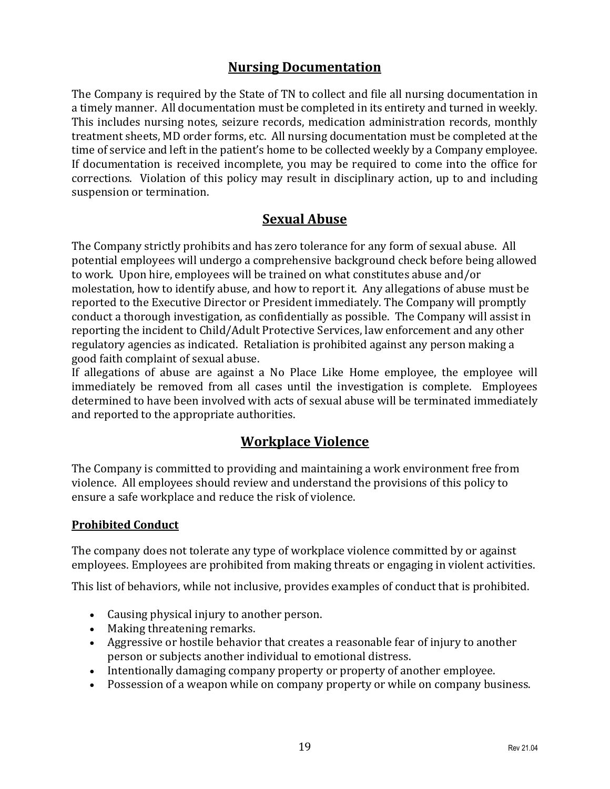# **Nursing Documentation**

<span id="page-22-0"></span>The Company is required by the State of TN to collect and file all nursing documentation in a timely manner. All documentation must be completed in its entirety and turned in weekly. This includes nursing notes, seizure records, medication administration records, monthly treatment sheets, MD order forms, etc. All nursing documentation must be completed at the time of service and left in the patient's home to be collected weekly by a Company employee. If documentation is received incomplete, you may be required to come into the office for corrections. Violation of this policy may result in disciplinary action, up to and including suspension or termination.

# **Sexual Abuse**

<span id="page-22-1"></span>The Company strictly prohibits and has zero tolerance for any form of sexual abuse. All potential employees will undergo a comprehensive background check before being allowed to work. Upon hire, employees will be trained on what constitutes abuse and/or molestation, how to identify abuse, and how to report it. Any allegations of abuse must be reported to the Executive Director or President immediately. The Company will promptly conduct a thorough investigation, as confidentially as possible. The Company will assist in reporting the incident to Child/Adult Protective Services, law enforcement and any other regulatory agencies as indicated. Retaliation is prohibited against any person making a good faith complaint of sexual abuse.

If allegations of abuse are against a No Place Like Home employee, the employee will immediately be removed from all cases until the investigation is complete. Employees determined to have been involved with acts of sexual abuse will be terminated immediately and reported to the appropriate authorities.

# **Workplace Violence**

<span id="page-22-2"></span>The Company is committed to providing and maintaining a work environment free from violence. All employees should review and understand the provisions of this policy to ensure a safe workplace and reduce the risk of violence.

#### <span id="page-22-3"></span>**Prohibited Conduct**

The company does not tolerate any type of workplace violence committed by or against employees. Employees are prohibited from making threats or engaging in violent activities.

This list of behaviors, while not inclusive, provides examples of conduct that is prohibited.

- Causing physical injury to another person.
- Making threatening remarks.
- Aggressive or hostile behavior that creates a reasonable fear of injury to another person or subjects another individual to emotional distress.
- Intentionally damaging company property or property of another employee.
- Possession of a weapon while on company property or while on company business.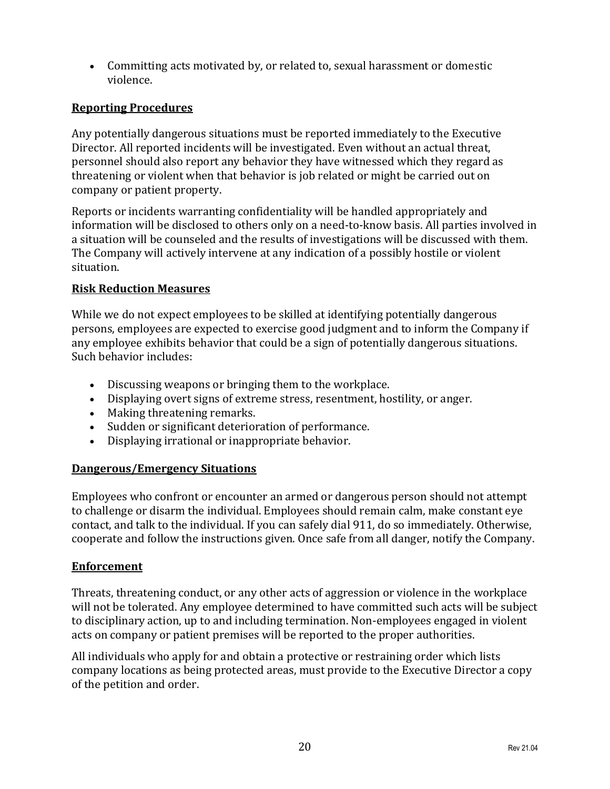• Committing acts motivated by, or related to, sexual harassment or domestic violence.

#### <span id="page-23-0"></span>**Reporting Procedures**

Any potentially dangerous situations must be reported immediately to the Executive Director. All reported incidents will be investigated. Even without an actual threat, personnel should also report any behavior they have witnessed which they regard as threatening or violent when that behavior is job related or might be carried out on company or patient property.

Reports or incidents warranting confidentiality will be handled appropriately and information will be disclosed to others only on a need-to-know basis. All parties involved in a situation will be counseled and the results of investigations will be discussed with them. The Company will actively intervene at any indication of a possibly hostile or violent situation.

#### <span id="page-23-1"></span>**Risk Reduction Measures**

While we do not expect employees to be skilled at identifying potentially dangerous persons, employees are expected to exercise good judgment and to inform the Company if any employee exhibits behavior that could be a sign of potentially dangerous situations. Such behavior includes:

- Discussing weapons or bringing them to the workplace.
- Displaying overt signs of extreme stress, resentment, hostility, or anger.
- Making threatening remarks.
- Sudden or significant deterioration of performance.
- Displaying irrational or inappropriate behavior.

#### <span id="page-23-2"></span>**Dangerous/Emergency Situations**

Employees who confront or encounter an armed or dangerous person should not attempt to challenge or disarm the individual. Employees should remain calm, make constant eye contact, and talk to the individual. If you can safely dial 911, do so immediately. Otherwise, cooperate and follow the instructions given. Once safe from all danger, notify the Company.

#### <span id="page-23-3"></span>**Enforcement**

Threats, threatening conduct, or any other acts of aggression or violence in the workplace will not be tolerated. Any employee determined to have committed such acts will be subject to disciplinary action, up to and including termination. Non-employees engaged in violent acts on company or patient premises will be reported to the proper authorities.

All individuals who apply for and obtain a protective or restraining order which lists company locations as being protected areas, must provide to the Executive Director a copy of the petition and order.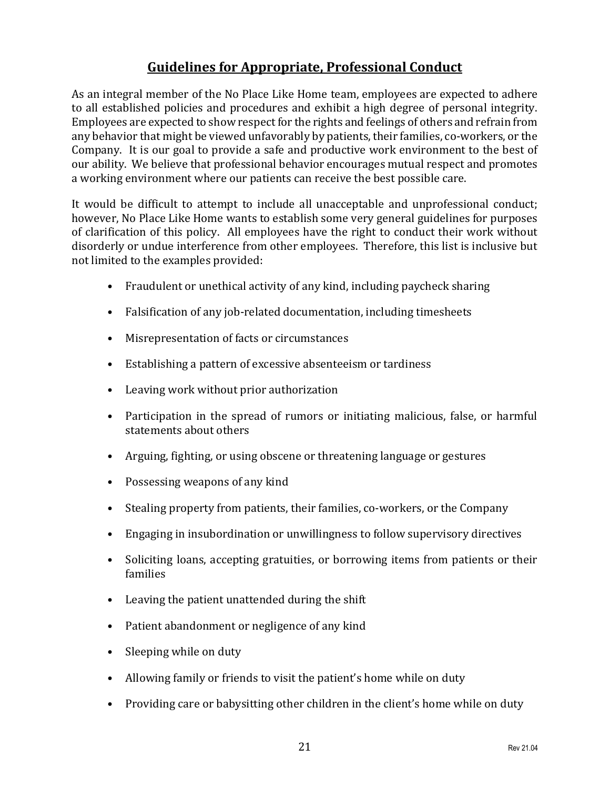# **Guidelines for Appropriate, Professional Conduct**

<span id="page-24-0"></span>As an integral member of the No Place Like Home team, employees are expected to adhere to all established policies and procedures and exhibit a high degree of personal integrity. Employees are expected to show respect for the rights and feelings of others and refrain from any behavior that might be viewed unfavorably by patients, their families, co-workers, or the Company. It is our goal to provide a safe and productive work environment to the best of our ability. We believe that professional behavior encourages mutual respect and promotes a working environment where our patients can receive the best possible care.

It would be difficult to attempt to include all unacceptable and unprofessional conduct; however, No Place Like Home wants to establish some very general guidelines for purposes of clarification of this policy. All employees have the right to conduct their work without disorderly or undue interference from other employees. Therefore, this list is inclusive but not limited to the examples provided:

- Fraudulent or unethical activity of any kind, including paycheck sharing
- Falsification of any job-related documentation, including timesheets
- Misrepresentation of facts or circumstances
- Establishing a pattern of excessive absenteeism or tardiness
- Leaving work without prior authorization
- Participation in the spread of rumors or initiating malicious, false, or harmful statements about others
- Arguing, fighting, or using obscene or threatening language or gestures
- Possessing weapons of any kind
- Stealing property from patients, their families, co-workers, or the Company
- Engaging in insubordination or unwillingness to follow supervisory directives
- Soliciting loans, accepting gratuities, or borrowing items from patients or their families
- Leaving the patient unattended during the shift
- Patient abandonment or negligence of any kind
- Sleeping while on duty
- Allowing family or friends to visit the patient's home while on duty
- Providing care or babysitting other children in the client's home while on duty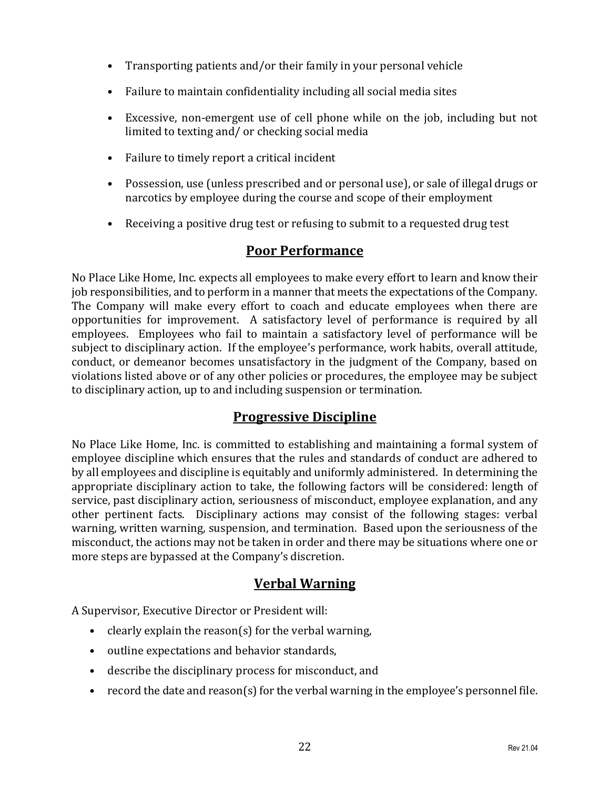- Transporting patients and/or their family in your personal vehicle
- Failure to maintain confidentiality including all social media sites
- Excessive, non-emergent use of cell phone while on the job, including but not limited to texting and/ or checking social media
- Failure to timely report a critical incident
- Possession, use (unless prescribed and or personal use), or sale of illegal drugs or narcotics by employee during the course and scope of their employment
- Receiving a positive drug test or refusing to submit to a requested drug test

# **Poor Performance**

<span id="page-25-0"></span>No Place Like Home, Inc. expects all employees to make every effort to learn and know their job responsibilities, and to perform in a manner that meets the expectations of the Company. The Company will make every effort to coach and educate employees when there are opportunities for improvement. A satisfactory level of performance is required by all employees. Employees who fail to maintain a satisfactory level of performance will be subject to disciplinary action. If the employee's performance, work habits, overall attitude, conduct, or demeanor becomes unsatisfactory in the judgment of the Company, based on violations listed above or of any other policies or procedures, the employee may be subject to disciplinary action, up to and including suspension or termination.

# **Progressive Discipline**

<span id="page-25-1"></span>No Place Like Home, Inc. is committed to establishing and maintaining a formal system of employee discipline which ensures that the rules and standards of conduct are adhered to by all employees and discipline is equitably and uniformly administered. In determining the appropriate disciplinary action to take, the following factors will be considered: length of service, past disciplinary action, seriousness of misconduct, employee explanation, and any other pertinent facts. Disciplinary actions may consist of the following stages: verbal warning, written warning, suspension, and termination. Based upon the seriousness of the misconduct, the actions may not be taken in order and there may be situations where one or more steps are bypassed at the Company's discretion.

# **Verbal Warning**

<span id="page-25-2"></span>A Supervisor, Executive Director or President will:

- clearly explain the reason(s) for the verbal warning,
- outline expectations and behavior standards,
- describe the disciplinary process for misconduct, and
- record the date and reason(s) for the verbal warning in the employee's personnel file.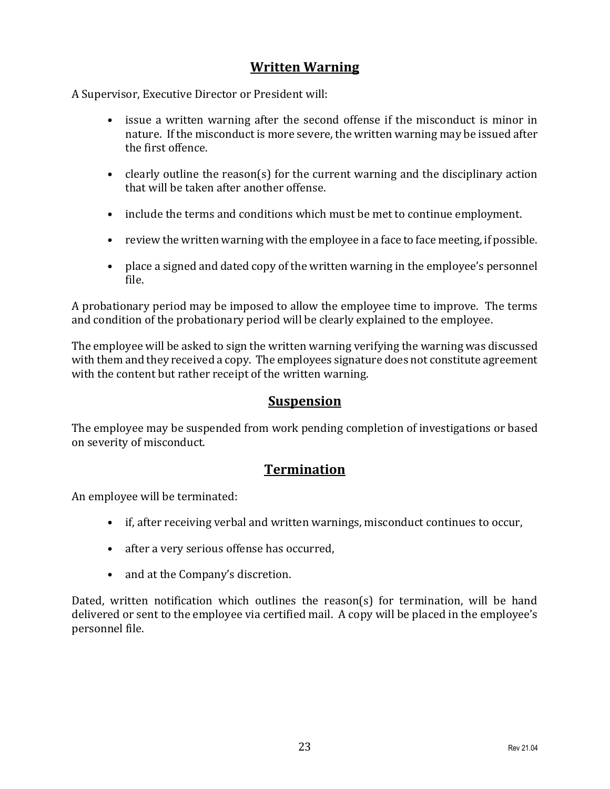# **Written Warning**

<span id="page-26-0"></span>A Supervisor, Executive Director or President will:

- issue a written warning after the second offense if the misconduct is minor in nature. If the misconduct is more severe, the written warning may be issued after the first offence.
- clearly outline the reason(s) for the current warning and the disciplinary action that will be taken after another offense.
- include the terms and conditions which must be met to continue employment.
- review the written warning with the employee in a face to face meeting, if possible.
- place a signed and dated copy of the written warning in the employee's personnel file.

A probationary period may be imposed to allow the employee time to improve. The terms and condition of the probationary period will be clearly explained to the employee.

The employee will be asked to sign the written warning verifying the warning was discussed with them and they received a copy. The employees signature does not constitute agreement with the content but rather receipt of the written warning.

# **Suspension**

<span id="page-26-1"></span>The employee may be suspended from work pending completion of investigations or based on severity of misconduct.

# **Termination**

<span id="page-26-2"></span>An employee will be terminated:

- if, after receiving verbal and written warnings, misconduct continues to occur,
- after a very serious offense has occurred,
- and at the Company's discretion.

Dated, written notification which outlines the reason(s) for termination, will be hand delivered or sent to the employee via certified mail. A copy will be placed in the employee's personnel file.